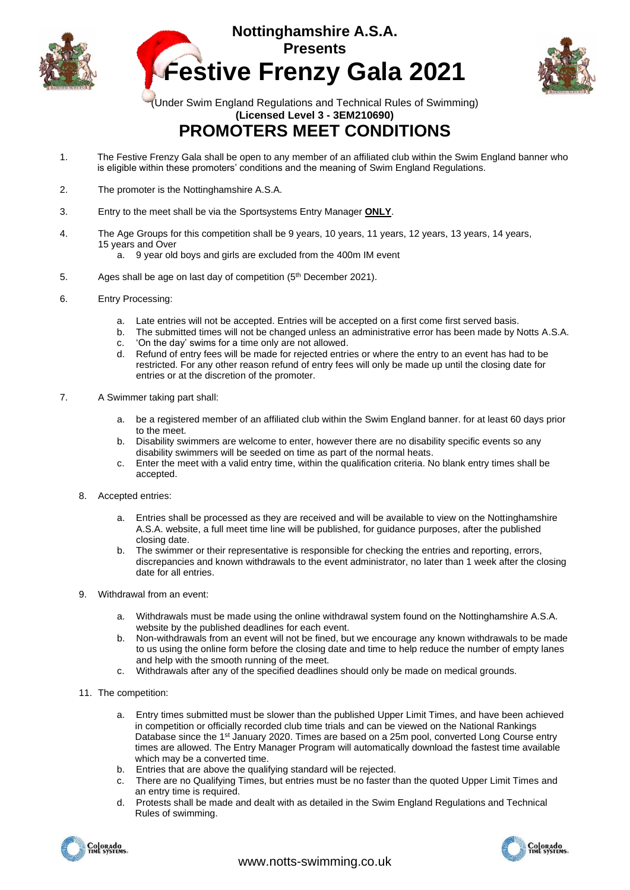





(Under Swim England Regulations and Technical Rules of Swimming) **(Licensed Level 3 - 3EM210690)**

## **PROMOTERS MEET CONDITIONS**

- 1. The Festive Frenzy Gala shall be open to any member of an affiliated club within the Swim England banner who is eligible within these promoters' conditions and the meaning of Swim England Regulations.
- 2. The promoter is the Nottinghamshire A.S.A.
- 3. Entry to the meet shall be via the Sportsystems Entry Manager **ONLY**.
- 4. The Age Groups for this competition shall be 9 years, 10 years, 11 years, 12 years, 13 years, 14 years, 15 years and Over
	- a. 9 year old boys and girls are excluded from the 400m IM event
- 5. Ages shall be age on last day of competition (5<sup>th</sup> December 2021).
- 6. Entry Processing:
	- a. Late entries will not be accepted. Entries will be accepted on a first come first served basis.
	- b. The submitted times will not be changed unless an administrative error has been made by Notts A.S.A.
	- c. 'On the day' swims for a time only are not allowed.
	- d. Refund of entry fees will be made for rejected entries or where the entry to an event has had to be restricted. For any other reason refund of entry fees will only be made up until the closing date for entries or at the discretion of the promoter.
- 7. A Swimmer taking part shall:
	- a. be a registered member of an affiliated club within the Swim England banner. for at least 60 days prior to the meet.
	- b. Disability swimmers are welcome to enter, however there are no disability specific events so any disability swimmers will be seeded on time as part of the normal heats.
	- c. Enter the meet with a valid entry time, within the qualification criteria. No blank entry times shall be accepted.
	- 8. Accepted entries:
		- a. Entries shall be processed as they are received and will be available to view on the Nottinghamshire A.S.A. website, a full meet time line will be published, for guidance purposes, after the published closing date.
		- b. The swimmer or their representative is responsible for checking the entries and reporting, errors, discrepancies and known withdrawals to the event administrator, no later than 1 week after the closing date for all entries.
	- 9. Withdrawal from an event:
		- a. Withdrawals must be made using the online withdrawal system found on the Nottinghamshire A.S.A. website by the published deadlines for each event.
		- b. Non-withdrawals from an event will not be fined, but we encourage any known withdrawals to be made to us using the online form before the closing date and time to help reduce the number of empty lanes and help with the smooth running of the meet.
		- c. Withdrawals after any of the specified deadlines should only be made on medical grounds.
	- 11. The competition:
		- a. Entry times submitted must be slower than the published Upper Limit Times, and have been achieved in competition or officially recorded club time trials and can be viewed on the National Rankings Database since the 1<sup>st</sup> January 2020. Times are based on a 25m pool, converted Long Course entry times are allowed. The Entry Manager Program will automatically download the fastest time available which may be a converted time.
		- b. Entries that are above the qualifying standard will be rejected.
		- c. There are no Qualifying Times, but entries must be no faster than the quoted Upper Limit Times and an entry time is required.
		- d. Protests shall be made and dealt with as detailed in the Swim England Regulations and Technical Rules of swimming.